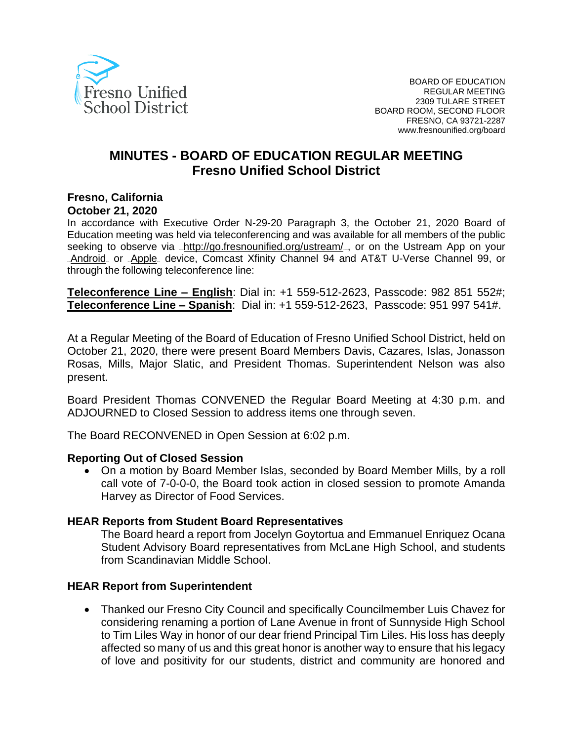

# **MINUTES - BOARD OF EDUCATION REGULAR MEETING Fresno Unified School District**

#### **Fresno, California October 21, 2020**

In accordance with Executive Order N-29-20 Paragraph 3, the October 21, 2020 Board of Education meeting was held via teleconferencing and was available for all members of the public seeking to observe via <http://go.fresnounified.org/ustream/> por on the Ustream App on your [Android](https://play.google.com/store/apps/details?id=tv.ustream.ustream&hl=en_US), or [Apple](https://itunes.apple.com/us/app/ustream/id301520250?mt=8), device, Comcast Xfinity Channel 94 and AT&T U-Verse Channel 99, or through the following teleconference line:

**Teleconference Line – English**: Dial in: +1 559-512-2623, Passcode: 982 851 552#; **Teleconference Line – Spanish**: Dial in: +1 559-512-2623, Passcode: 951 997 541#.

At a Regular Meeting of the Board of Education of Fresno Unified School District, held on October 21, 2020, there were present Board Members Davis, Cazares, Islas, Jonasson Rosas, Mills, Major Slatic, and President Thomas. Superintendent Nelson was also present.

Board President Thomas CONVENED the Regular Board Meeting at 4:30 p.m. and ADJOURNED to Closed Session to address items one through seven.

The Board RECONVENED in Open Session at 6:02 p.m.

#### **Reporting Out of Closed Session**

• On a motion by Board Member Islas, seconded by Board Member Mills, by a roll call vote of 7-0-0-0, the Board took action in closed session to promote Amanda Harvey as Director of Food Services.

#### **HEAR Reports from Student Board Representatives**

The Board heard a report from Jocelyn Goytortua and Emmanuel Enriquez Ocana Student Advisory Board representatives from McLane High School, and students from Scandinavian Middle School.

#### **HEAR Report from Superintendent**

• Thanked our Fresno City Council and specifically Councilmember Luis Chavez for considering renaming a portion of Lane Avenue in front of Sunnyside High School to Tim Liles Way in honor of our dear friend Principal Tim Liles. His loss has deeply affected so many of us and this great honor is another way to ensure that his legacy of love and positivity for our students, district and community are honored and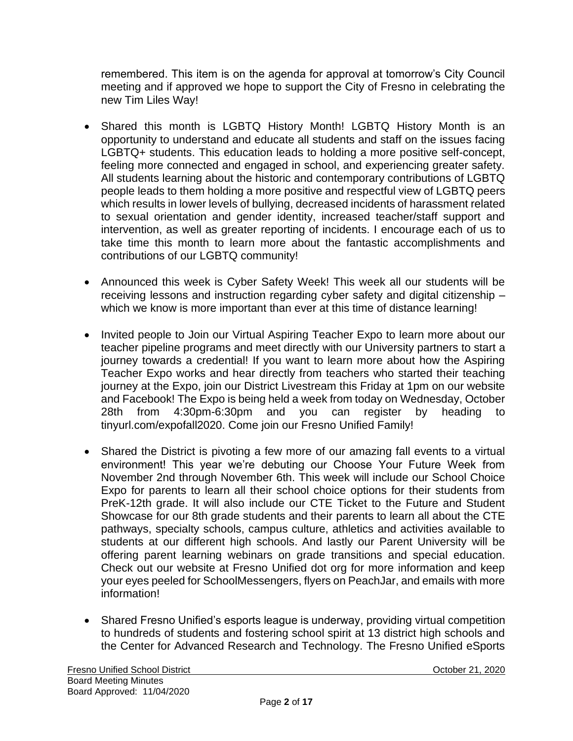remembered. This item is on the agenda for approval at tomorrow's City Council meeting and if approved we hope to support the City of Fresno in celebrating the new Tim Liles Way!

- Shared this month is LGBTQ History Month! LGBTQ History Month is an opportunity to understand and educate all students and staff on the issues facing LGBTQ+ students. This education leads to holding a more positive self-concept, feeling more connected and engaged in school, and experiencing greater safety. All students learning about the historic and contemporary contributions of LGBTQ people leads to them holding a more positive and respectful view of LGBTQ peers which results in lower levels of bullying, decreased incidents of harassment related to sexual orientation and gender identity, increased teacher/staff support and intervention, as well as greater reporting of incidents. I encourage each of us to take time this month to learn more about the fantastic accomplishments and contributions of our LGBTQ community!
- Announced this week is Cyber Safety Week! This week all our students will be receiving lessons and instruction regarding cyber safety and digital citizenship – which we know is more important than ever at this time of distance learning!
- Invited people to Join our Virtual Aspiring Teacher Expo to learn more about our teacher pipeline programs and meet directly with our University partners to start a journey towards a credential! If you want to learn more about how the Aspiring Teacher Expo works and hear directly from teachers who started their teaching journey at the Expo, join our District Livestream this Friday at 1pm on our website and Facebook! The Expo is being held a week from today on Wednesday, October 28th from 4:30pm-6:30pm and you can register by heading to tinyurl.com/expofall2020. Come join our Fresno Unified Family!
- Shared the District is pivoting a few more of our amazing fall events to a virtual environment! This year we're debuting our Choose Your Future Week from November 2nd through November 6th. This week will include our School Choice Expo for parents to learn all their school choice options for their students from PreK-12th grade. It will also include our CTE Ticket to the Future and Student Showcase for our 8th grade students and their parents to learn all about the CTE pathways, specialty schools, campus culture, athletics and activities available to students at our different high schools. And lastly our Parent University will be offering parent learning webinars on grade transitions and special education. Check out our website at Fresno Unified dot org for more information and keep your eyes peeled for SchoolMessengers, flyers on PeachJar, and emails with more information!
- Shared Fresno Unified's esports league is underway, providing virtual competition to hundreds of students and fostering school spirit at 13 district high schools and the Center for Advanced Research and Technology. The Fresno Unified eSports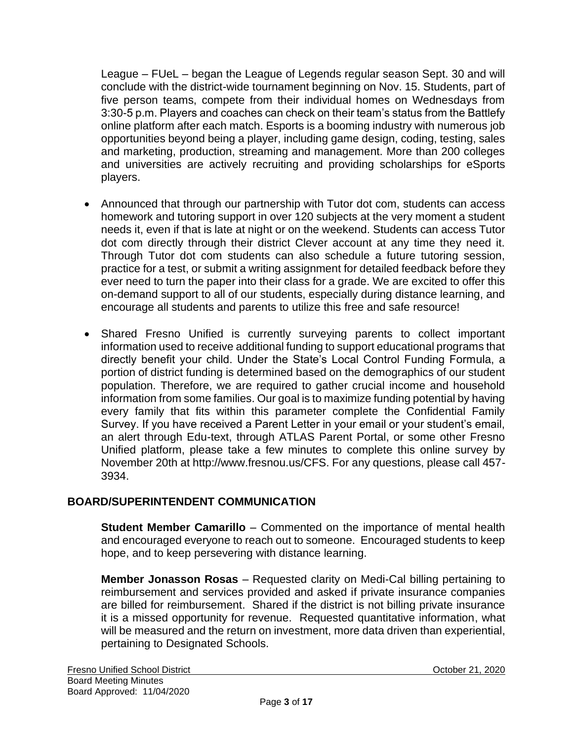League – FUeL – began the League of Legends regular season Sept. 30 and will conclude with the district-wide tournament beginning on Nov. 15. Students, part of five person teams, compete from their individual homes on Wednesdays from 3:30-5 p.m. Players and coaches can check on their team's status from the Battlefy online platform after each match. Esports is a booming industry with numerous job opportunities beyond being a player, including game design, coding, testing, sales and marketing, production, streaming and management. More than 200 colleges and universities are actively recruiting and providing scholarships for eSports players.

- Announced that through our partnership with Tutor dot com, students can access homework and tutoring support in over 120 subjects at the very moment a student needs it, even if that is late at night or on the weekend. Students can access Tutor dot com directly through their district Clever account at any time they need it. Through Tutor dot com students can also schedule a future tutoring session, practice for a test, or submit a writing assignment for detailed feedback before they ever need to turn the paper into their class for a grade. We are excited to offer this on-demand support to all of our students, especially during distance learning, and encourage all students and parents to utilize this free and safe resource!
- Shared Fresno Unified is currently surveying parents to collect important information used to receive additional funding to support educational programs that directly benefit your child. Under the State's Local Control Funding Formula, a portion of district funding is determined based on the demographics of our student population. Therefore, we are required to gather crucial income and household information from some families. Our goal is to maximize funding potential by having every family that fits within this parameter complete the Confidential Family Survey. If you have received a Parent Letter in your email or your student's email, an alert through Edu-text, through ATLAS Parent Portal, or some other Fresno Unified platform, please take a few minutes to complete this online survey by November 20th at http://www.fresnou.us/CFS. For any questions, please call 457- 3934.

# **BOARD/SUPERINTENDENT COMMUNICATION**

**Student Member Camarillo** – Commented on the importance of mental health and encouraged everyone to reach out to someone. Encouraged students to keep hope, and to keep persevering with distance learning.

**Member Jonasson Rosas** – Requested clarity on Medi-Cal billing pertaining to reimbursement and services provided and asked if private insurance companies are billed for reimbursement. Shared if the district is not billing private insurance it is a missed opportunity for revenue. Requested quantitative information, what will be measured and the return on investment, more data driven than experiential, pertaining to Designated Schools.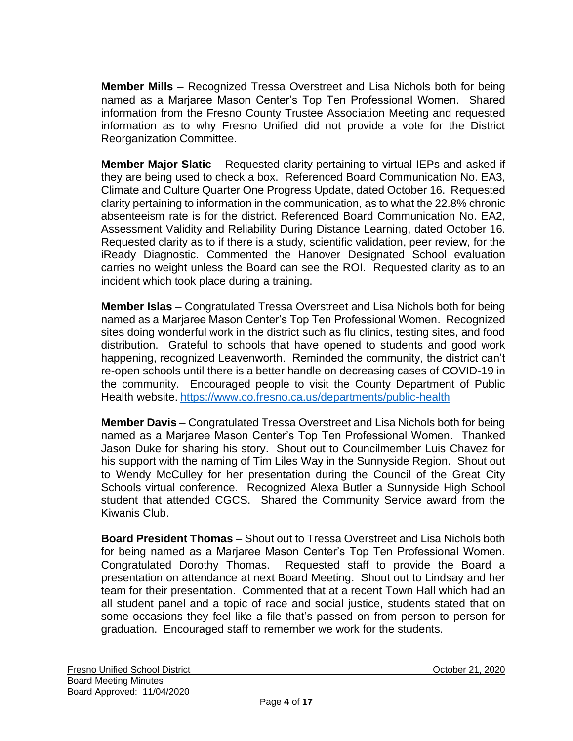**Member Mills** – Recognized Tressa Overstreet and Lisa Nichols both for being named as a Marjaree Mason Center's Top Ten Professional Women. Shared information from the Fresno County Trustee Association Meeting and requested information as to why Fresno Unified did not provide a vote for the District Reorganization Committee.

**Member Major Slatic** – Requested clarity pertaining to virtual IEPs and asked if they are being used to check a box. Referenced Board Communication No. EA3, Climate and Culture Quarter One Progress Update, dated October 16. Requested clarity pertaining to information in the communication, as to what the 22.8% chronic absenteeism rate is for the district. Referenced Board Communication No. EA2, Assessment Validity and Reliability During Distance Learning, dated October 16. Requested clarity as to if there is a study, scientific validation, peer review, for the iReady Diagnostic. Commented the Hanover Designated School evaluation carries no weight unless the Board can see the ROI. Requested clarity as to an incident which took place during a training.

**Member Islas** – Congratulated Tressa Overstreet and Lisa Nichols both for being named as a Marjaree Mason Center's Top Ten Professional Women. Recognized sites doing wonderful work in the district such as flu clinics, testing sites, and food distribution. Grateful to schools that have opened to students and good work happening, recognized Leavenworth. Reminded the community, the district can't re-open schools until there is a better handle on decreasing cases of COVID-19 in the community. Encouraged people to visit the County Department of Public Health website. <https://www.co.fresno.ca.us/departments/public-health>

**Member Davis** – Congratulated Tressa Overstreet and Lisa Nichols both for being named as a Marjaree Mason Center's Top Ten Professional Women. Thanked Jason Duke for sharing his story. Shout out to Councilmember Luis Chavez for his support with the naming of Tim Liles Way in the Sunnyside Region. Shout out to Wendy McCulley for her presentation during the Council of the Great City Schools virtual conference. Recognized Alexa Butler a Sunnyside High School student that attended CGCS. Shared the Community Service award from the Kiwanis Club.

**Board President Thomas** – Shout out to Tressa Overstreet and Lisa Nichols both for being named as a Marjaree Mason Center's Top Ten Professional Women. Congratulated Dorothy Thomas. Requested staff to provide the Board a presentation on attendance at next Board Meeting. Shout out to Lindsay and her team for their presentation. Commented that at a recent Town Hall which had an all student panel and a topic of race and social justice, students stated that on some occasions they feel like a file that's passed on from person to person for graduation. Encouraged staff to remember we work for the students.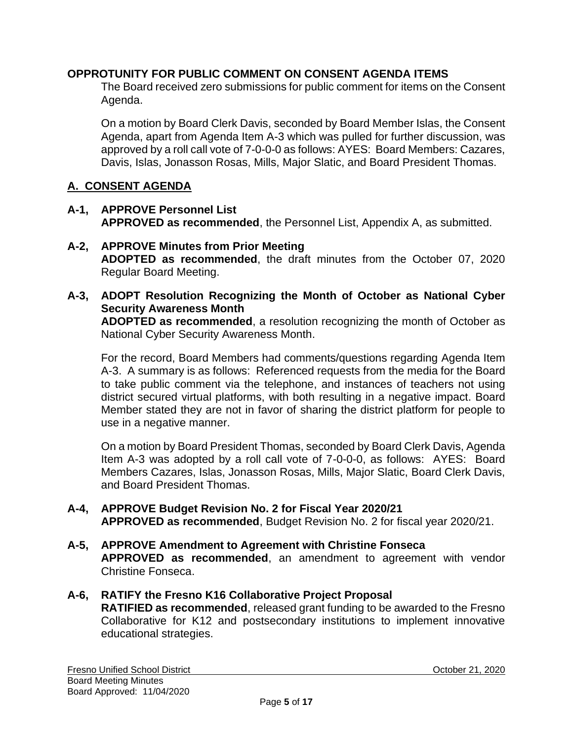### **OPPROTUNITY FOR PUBLIC COMMENT ON CONSENT AGENDA ITEMS**

The Board received zero submissions for public comment for items on the Consent Agenda.

On a motion by Board Clerk Davis, seconded by Board Member Islas, the Consent Agenda, apart from Agenda Item A-3 which was pulled for further discussion, was approved by a roll call vote of 7-0-0-0 as follows: AYES: Board Members: Cazares, Davis, Islas, Jonasson Rosas, Mills, Major Slatic, and Board President Thomas.

### **A. CONSENT AGENDA**

- **A-1, APPROVE Personnel List APPROVED as recommended**, the Personnel List, Appendix A, as submitted.
- **A-2, APPROVE Minutes from Prior Meeting ADOPTED as recommended**, the draft minutes from the October 07, 2020 Regular Board Meeting.
- **A-3, ADOPT Resolution Recognizing the Month of October as National Cyber Security Awareness Month**

**ADOPTED as recommended**, a resolution recognizing the month of October as National Cyber Security Awareness Month.

For the record, Board Members had comments/questions regarding Agenda Item A-3. A summary is as follows: Referenced requests from the media for the Board to take public comment via the telephone, and instances of teachers not using district secured virtual platforms, with both resulting in a negative impact. Board Member stated they are not in favor of sharing the district platform for people to use in a negative manner.

On a motion by Board President Thomas, seconded by Board Clerk Davis, Agenda Item A-3 was adopted by a roll call vote of 7-0-0-0, as follows: AYES: Board Members Cazares, Islas, Jonasson Rosas, Mills, Major Slatic, Board Clerk Davis, and Board President Thomas.

#### **A-4, APPROVE Budget Revision No. 2 for Fiscal Year 2020/21 APPROVED as recommended**, Budget Revision No. 2 for fiscal year 2020/21.

- **A-5, APPROVE Amendment to Agreement with Christine Fonseca APPROVED as recommended**, an amendment to agreement with vendor Christine Fonseca.
- **A-6, RATIFY the Fresno K16 Collaborative Project Proposal RATIFIED as recommended**, released grant funding to be awarded to the Fresno Collaborative for K12 and postsecondary institutions to implement innovative educational strategies.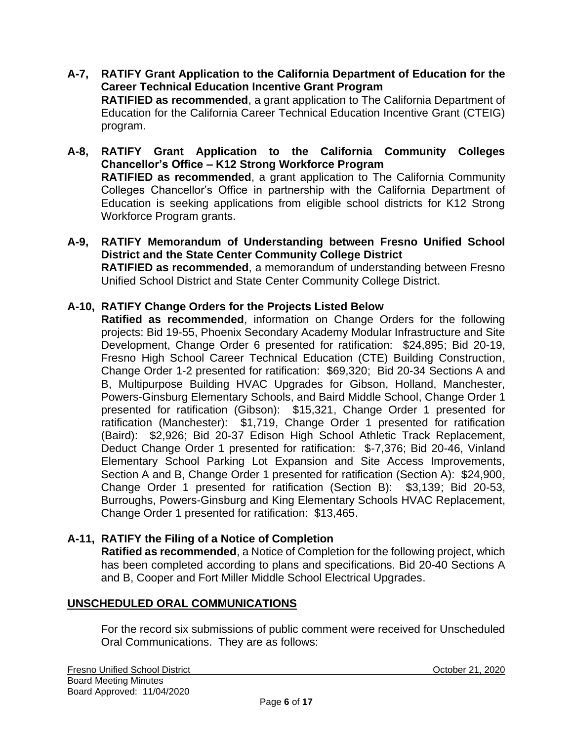- **A-7, RATIFY Grant Application to the California Department of Education for the Career Technical Education Incentive Grant Program RATIFIED as recommended**, a grant application to The California Department of Education for the California Career Technical Education Incentive Grant (CTEIG) program.
- **A-8, RATIFY Grant Application to the California Community Colleges Chancellor's Office – K12 Strong Workforce Program RATIFIED as recommended**, a grant application to The California Community Colleges Chancellor's Office in partnership with the California Department of Education is seeking applications from eligible school districts for K12 Strong Workforce Program grants.
- **A-9, RATIFY Memorandum of Understanding between Fresno Unified School District and the State Center Community College District RATIFIED as recommended**, a memorandum of understanding between Fresno Unified School District and State Center Community College District.

### **A-10, RATIFY Change Orders for the Projects Listed Below**

**Ratified as recommended**, information on Change Orders for the following projects: Bid 19-55, Phoenix Secondary Academy Modular Infrastructure and Site Development, Change Order 6 presented for ratification: \$24,895; Bid 20-19, Fresno High School Career Technical Education (CTE) Building Construction, Change Order 1-2 presented for ratification: \$69,320; Bid 20-34 Sections A and B, Multipurpose Building HVAC Upgrades for Gibson, Holland, Manchester, Powers-Ginsburg Elementary Schools, and Baird Middle School, Change Order 1 presented for ratification (Gibson): \$15,321, Change Order 1 presented for ratification (Manchester): \$1,719, Change Order 1 presented for ratification (Baird): \$2,926; Bid 20-37 Edison High School Athletic Track Replacement, Deduct Change Order 1 presented for ratification: \$-7,376; Bid 20-46, Vinland Elementary School Parking Lot Expansion and Site Access Improvements, Section A and B, Change Order 1 presented for ratification (Section A): \$24,900, Change Order 1 presented for ratification (Section B): \$3,139; Bid 20-53, Burroughs, Powers-Ginsburg and King Elementary Schools HVAC Replacement, Change Order 1 presented for ratification: \$13,465.

### **A-11, RATIFY the Filing of a Notice of Completion**

**Ratified as recommended**, a Notice of Completion for the following project, which has been completed according to plans and specifications. Bid 20-40 Sections A and B, Cooper and Fort Miller Middle School Electrical Upgrades.

#### **UNSCHEDULED ORAL COMMUNICATIONS**

For the record six submissions of public comment were received for Unscheduled Oral Communications. They are as follows: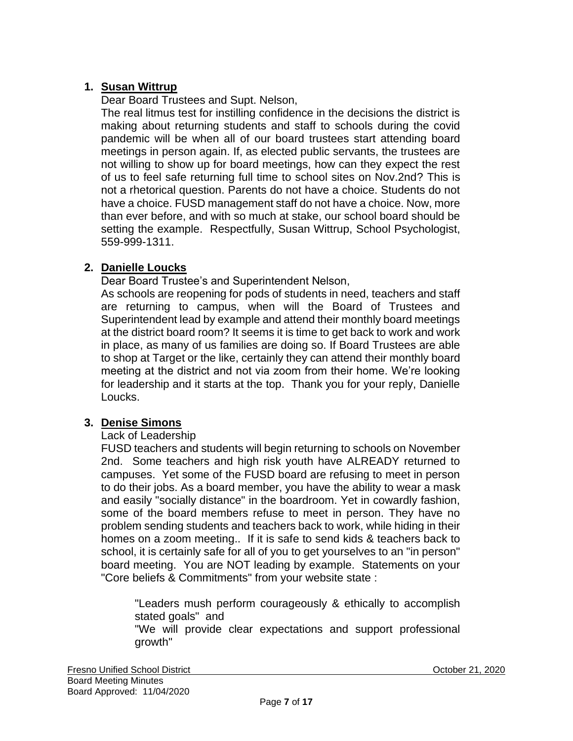## **1. Susan Wittrup**

Dear Board Trustees and Supt. Nelson,

The real litmus test for instilling confidence in the decisions the district is making about returning students and staff to schools during the covid pandemic will be when all of our board trustees start attending board meetings in person again. If, as elected public servants, the trustees are not willing to show up for board meetings, how can they expect the rest of us to feel safe returning full time to school sites on Nov.2nd? This is not a rhetorical question. Parents do not have a choice. Students do not have a choice. FUSD management staff do not have a choice. Now, more than ever before, and with so much at stake, our school board should be setting the example. Respectfully, Susan Wittrup, School Psychologist, 559-999-1311.

### **2. Danielle Loucks**

Dear Board Trustee's and Superintendent Nelson,

As schools are reopening for pods of students in need, teachers and staff are returning to campus, when will the Board of Trustees and Superintendent lead by example and attend their monthly board meetings at the district board room? It seems it is time to get back to work and work in place, as many of us families are doing so. If Board Trustees are able to shop at Target or the like, certainly they can attend their monthly board meeting at the district and not via zoom from their home. We're looking for leadership and it starts at the top. Thank you for your reply, Danielle Loucks.

### **3. Denise Simons**

#### Lack of Leadership

FUSD teachers and students will begin returning to schools on November 2nd. Some teachers and high risk youth have ALREADY returned to campuses. Yet some of the FUSD board are refusing to meet in person to do their jobs. As a board member, you have the ability to wear a mask and easily "socially distance" in the boardroom. Yet in cowardly fashion, some of the board members refuse to meet in person. They have no problem sending students and teachers back to work, while hiding in their homes on a zoom meeting.. If it is safe to send kids & teachers back to school, it is certainly safe for all of you to get yourselves to an "in person" board meeting. You are NOT leading by example. Statements on your "Core beliefs & Commitments" from your website state :

"Leaders mush perform courageously & ethically to accomplish stated goals" and "We will provide clear expectations and support professional growth"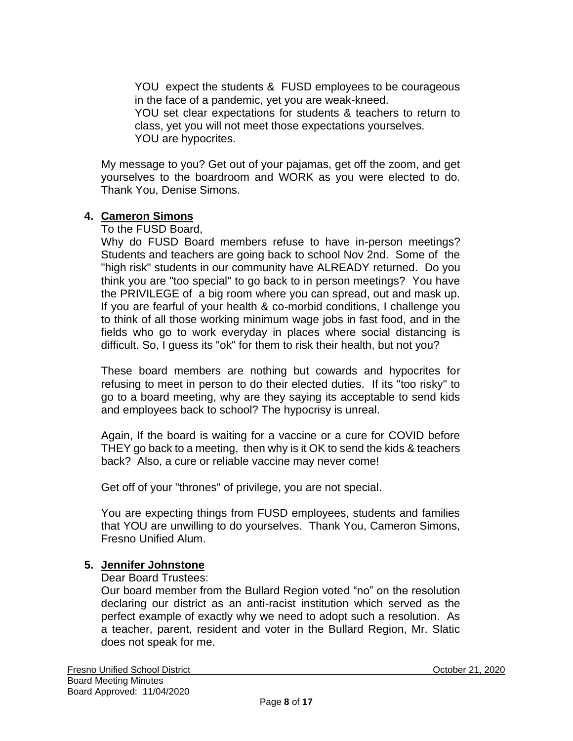YOU expect the students & FUSD employees to be courageous in the face of a pandemic, yet you are weak-kneed.

YOU set clear expectations for students & teachers to return to class, yet you will not meet those expectations yourselves. YOU are hypocrites.

My message to you? Get out of your pajamas, get off the zoom, and get yourselves to the boardroom and WORK as you were elected to do. Thank You, Denise Simons.

### **4. Cameron Simons**

To the FUSD Board,

Why do FUSD Board members refuse to have in-person meetings? Students and teachers are going back to school Nov 2nd. Some of the "high risk" students in our community have ALREADY returned. Do you think you are "too special" to go back to in person meetings? You have the PRIVILEGE of a big room where you can spread, out and mask up. If you are fearful of your health & co-morbid conditions, I challenge you to think of all those working minimum wage jobs in fast food, and in the fields who go to work everyday in places where social distancing is difficult. So, I guess its "ok" for them to risk their health, but not you?

These board members are nothing but cowards and hypocrites for refusing to meet in person to do their elected duties. If its "too risky" to go to a board meeting, why are they saying its acceptable to send kids and employees back to school? The hypocrisy is unreal.

Again, If the board is waiting for a vaccine or a cure for COVID before THEY go back to a meeting, then why is it OK to send the kids & teachers back? Also, a cure or reliable vaccine may never come!

Get off of your "thrones" of privilege, you are not special.

You are expecting things from FUSD employees, students and families that YOU are unwilling to do yourselves. Thank You, Cameron Simons, Fresno Unified Alum.

### **5. Jennifer Johnstone**

Dear Board Trustees:

Our board member from the Bullard Region voted "no" on the resolution declaring our district as an anti-racist institution which served as the perfect example of exactly why we need to adopt such a resolution. As a teacher, parent, resident and voter in the Bullard Region, Mr. Slatic does not speak for me.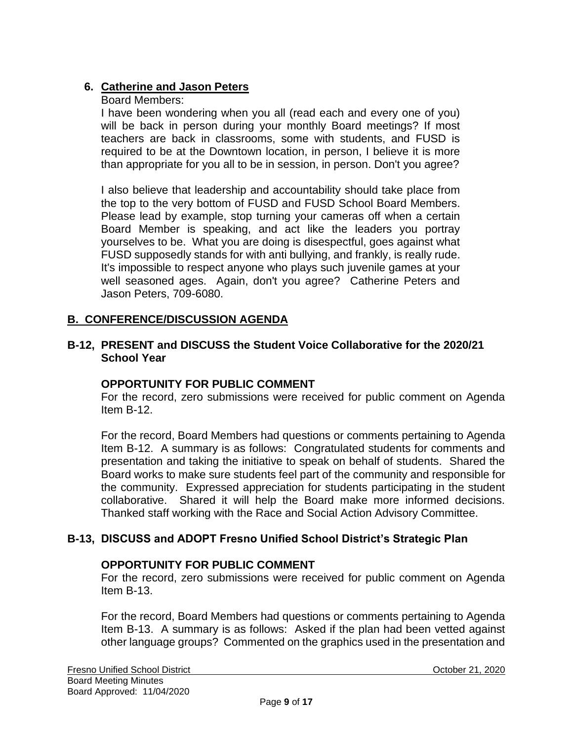## **6. Catherine and Jason Peters**

#### Board Members:

I have been wondering when you all (read each and every one of you) will be back in person during your monthly Board meetings? If most teachers are back in classrooms, some with students, and FUSD is required to be at the Downtown location, in person, I believe it is more than appropriate for you all to be in session, in person. Don't you agree?

I also believe that leadership and accountability should take place from the top to the very bottom of FUSD and FUSD School Board Members. Please lead by example, stop turning your cameras off when a certain Board Member is speaking, and act like the leaders you portray yourselves to be. What you are doing is disespectful, goes against what FUSD supposedly stands for with anti bullying, and frankly, is really rude. It's impossible to respect anyone who plays such juvenile games at your well seasoned ages. Again, don't you agree? Catherine Peters and Jason Peters, 709-6080.

### **B. CONFERENCE/DISCUSSION AGENDA**

#### **B-12, PRESENT and DISCUSS the Student Voice Collaborative for the 2020/21 School Year**

#### **OPPORTUNITY FOR PUBLIC COMMENT**

For the record, zero submissions were received for public comment on Agenda Item B-12.

For the record, Board Members had questions or comments pertaining to Agenda Item B-12. A summary is as follows: Congratulated students for comments and presentation and taking the initiative to speak on behalf of students. Shared the Board works to make sure students feel part of the community and responsible for the community. Expressed appreciation for students participating in the student collaborative. Shared it will help the Board make more informed decisions. Thanked staff working with the Race and Social Action Advisory Committee.

#### **B-13, DISCUSS and ADOPT Fresno Unified School District's Strategic Plan**

#### **OPPORTUNITY FOR PUBLIC COMMENT**

For the record, zero submissions were received for public comment on Agenda Item B-13.

For the record, Board Members had questions or comments pertaining to Agenda Item B-13. A summary is as follows: Asked if the plan had been vetted against other language groups? Commented on the graphics used in the presentation and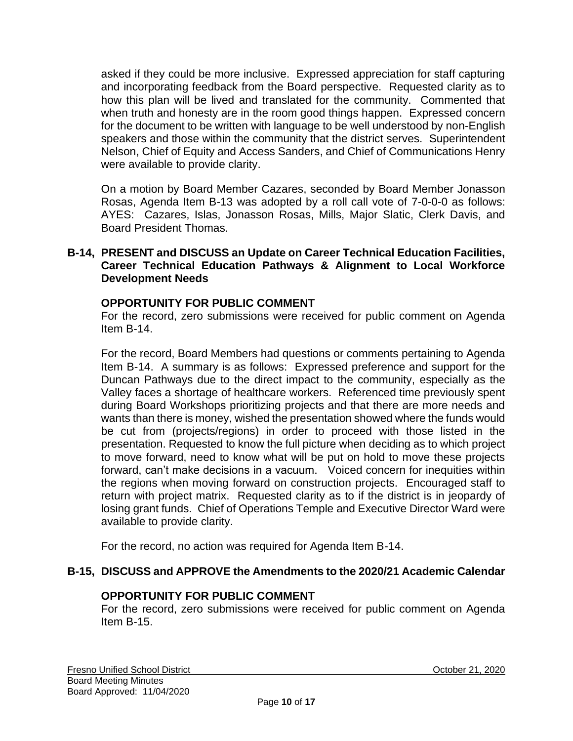asked if they could be more inclusive. Expressed appreciation for staff capturing and incorporating feedback from the Board perspective. Requested clarity as to how this plan will be lived and translated for the community. Commented that when truth and honesty are in the room good things happen. Expressed concern for the document to be written with language to be well understood by non-English speakers and those within the community that the district serves. Superintendent Nelson, Chief of Equity and Access Sanders, and Chief of Communications Henry were available to provide clarity.

On a motion by Board Member Cazares, seconded by Board Member Jonasson Rosas, Agenda Item B-13 was adopted by a roll call vote of 7-0-0-0 as follows: AYES: Cazares, Islas, Jonasson Rosas, Mills, Major Slatic, Clerk Davis, and Board President Thomas.

#### **B-14, PRESENT and DISCUSS an Update on Career Technical Education Facilities, Career Technical Education Pathways & Alignment to Local Workforce Development Needs**

#### **OPPORTUNITY FOR PUBLIC COMMENT**

For the record, zero submissions were received for public comment on Agenda Item B-14.

For the record, Board Members had questions or comments pertaining to Agenda Item B-14. A summary is as follows: Expressed preference and support for the Duncan Pathways due to the direct impact to the community, especially as the Valley faces a shortage of healthcare workers. Referenced time previously spent during Board Workshops prioritizing projects and that there are more needs and wants than there is money, wished the presentation showed where the funds would be cut from (projects/regions) in order to proceed with those listed in the presentation. Requested to know the full picture when deciding as to which project to move forward, need to know what will be put on hold to move these projects forward, can't make decisions in a vacuum. Voiced concern for inequities within the regions when moving forward on construction projects. Encouraged staff to return with project matrix. Requested clarity as to if the district is in jeopardy of losing grant funds. Chief of Operations Temple and Executive Director Ward were available to provide clarity.

For the record, no action was required for Agenda Item B-14.

### **B-15, DISCUSS and APPROVE the Amendments to the 2020/21 Academic Calendar**

#### **OPPORTUNITY FOR PUBLIC COMMENT**

For the record, zero submissions were received for public comment on Agenda Item B-15.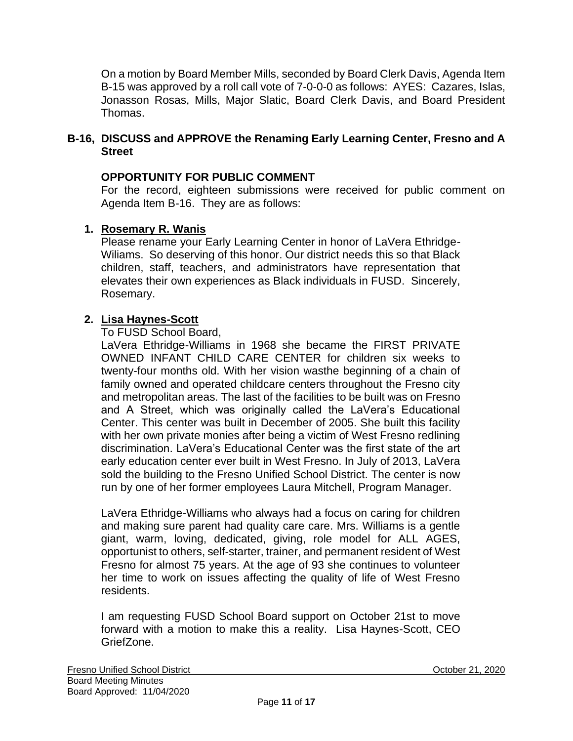On a motion by Board Member Mills, seconded by Board Clerk Davis, Agenda Item B-15 was approved by a roll call vote of 7-0-0-0 as follows: AYES: Cazares, Islas, Jonasson Rosas, Mills, Major Slatic, Board Clerk Davis, and Board President Thomas.

### **B-16, DISCUSS and APPROVE the Renaming Early Learning Center, Fresno and A Street**

### **OPPORTUNITY FOR PUBLIC COMMENT**

For the record, eighteen submissions were received for public comment on Agenda Item B-16. They are as follows:

## **1. Rosemary R. Wanis**

Please rename your Early Learning Center in honor of LaVera Ethridge-Wiliams. So deserving of this honor. Our district needs this so that Black children, staff, teachers, and administrators have representation that elevates their own experiences as Black individuals in FUSD. Sincerely, Rosemary.

### **2. Lisa Haynes-Scott**

To FUSD School Board,

LaVera Ethridge-Williams in 1968 she became the FIRST PRIVATE OWNED INFANT CHILD CARE CENTER for children six weeks to twenty-four months old. With her vision wasthe beginning of a chain of family owned and operated childcare centers throughout the Fresno city and metropolitan areas. The last of the facilities to be built was on Fresno and A Street, which was originally called the LaVera's Educational Center. This center was built in December of 2005. She built this facility with her own private monies after being a victim of West Fresno redlining discrimination. LaVera's Educational Center was the first state of the art early education center ever built in West Fresno. In July of 2013, LaVera sold the building to the Fresno Unified School District. The center is now run by one of her former employees Laura Mitchell, Program Manager.

LaVera Ethridge-Williams who always had a focus on caring for children and making sure parent had quality care care. Mrs. Williams is a gentle giant, warm, loving, dedicated, giving, role model for ALL AGES, opportunist to others, self-starter, trainer, and permanent resident of West Fresno for almost 75 years. At the age of 93 she continues to volunteer her time to work on issues affecting the quality of life of West Fresno residents.

I am requesting FUSD School Board support on October 21st to move forward with a motion to make this a reality. Lisa Haynes-Scott, CEO GriefZone.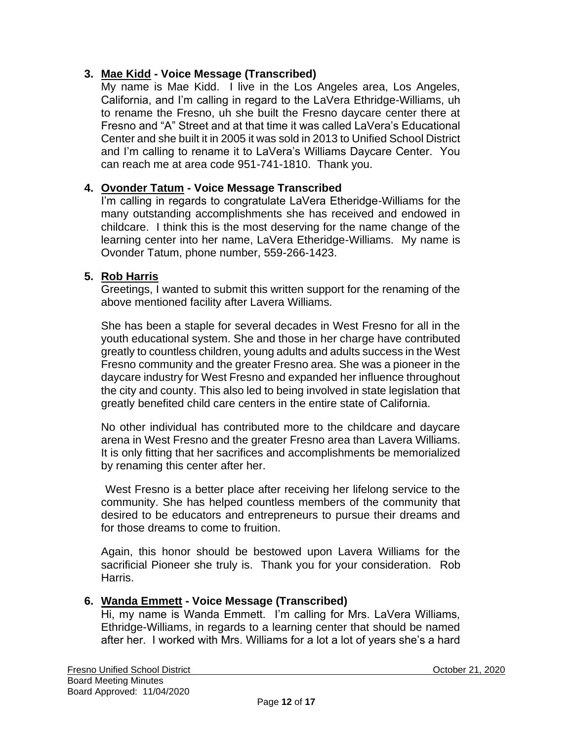### **3. Mae Kidd - Voice Message (Transcribed)**

My name is Mae Kidd. I live in the Los Angeles area, Los Angeles, California, and I'm calling in regard to the LaVera Ethridge-Williams, uh to rename the Fresno, uh she built the Fresno daycare center there at Fresno and "A" Street and at that time it was called LaVera's Educational Center and she built it in 2005 it was sold in 2013 to Unified School District and I'm calling to rename it to LaVera's Williams Daycare Center. You can reach me at area code 951-741-1810. Thank you.

### **4. Ovonder Tatum - Voice Message Transcribed**

I'm calling in regards to congratulate LaVera Etheridge-Williams for the many outstanding accomplishments she has received and endowed in childcare. I think this is the most deserving for the name change of the learning center into her name, LaVera Etheridge-Williams. My name is Ovonder Tatum, phone number, 559-266-1423.

### **5. Rob Harris**

Greetings, I wanted to submit this written support for the renaming of the above mentioned facility after Lavera Williams.

She has been a staple for several decades in West Fresno for all in the youth educational system. She and those in her charge have contributed greatly to countless children, young adults and adults success in the West Fresno community and the greater Fresno area. She was a pioneer in the daycare industry for West Fresno and expanded her influence throughout the city and county. This also led to being involved in state legislation that greatly benefited child care centers in the entire state of California.

No other individual has contributed more to the childcare and daycare arena in West Fresno and the greater Fresno area than Lavera Williams. It is only fitting that her sacrifices and accomplishments be memorialized by renaming this center after her.

West Fresno is a better place after receiving her lifelong service to the community. She has helped countless members of the community that desired to be educators and entrepreneurs to pursue their dreams and for those dreams to come to fruition.

Again, this honor should be bestowed upon Lavera Williams for the sacrificial Pioneer she truly is. Thank you for your consideration. Rob Harris.

### **6. Wanda Emmett - Voice Message (Transcribed)**

Hi, my name is Wanda Emmett. I'm calling for Mrs. LaVera Williams, Ethridge-Williams, in regards to a learning center that should be named after her. I worked with Mrs. Williams for a lot a lot of years she's a hard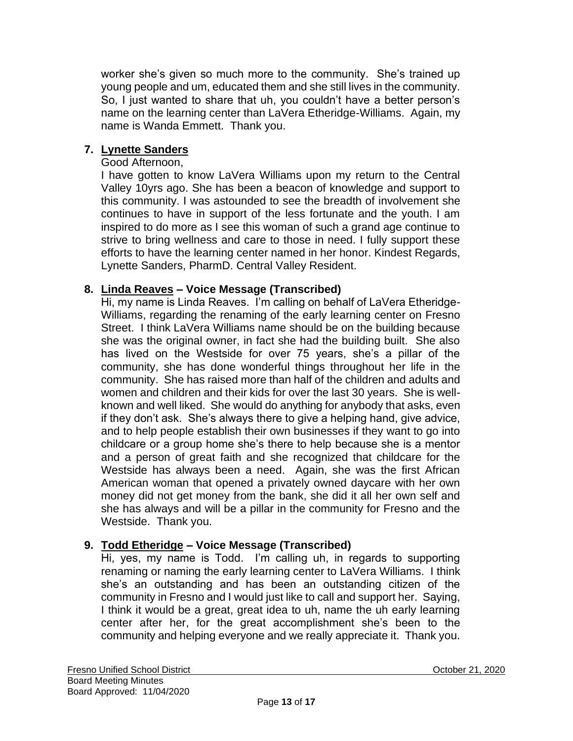worker she's given so much more to the community. She's trained up young people and um, educated them and she still lives in the community. So, I just wanted to share that uh, you couldn't have a better person's name on the learning center than LaVera Etheridge-Williams. Again, my name is Wanda Emmett. Thank you.

# **7. Lynette Sanders**

### Good Afternoon,

I have gotten to know LaVera Williams upon my return to the Central Valley 10yrs ago. She has been a beacon of knowledge and support to this community. I was astounded to see the breadth of involvement she continues to have in support of the less fortunate and the youth. I am inspired to do more as I see this woman of such a grand age continue to strive to bring wellness and care to those in need. I fully support these efforts to have the learning center named in her honor. Kindest Regards, Lynette Sanders, PharmD. Central Valley Resident.

### **8. Linda Reaves – Voice Message (Transcribed)**

Hi, my name is Linda Reaves. I'm calling on behalf of LaVera Etheridge-Williams, regarding the renaming of the early learning center on Fresno Street. I think LaVera Williams name should be on the building because she was the original owner, in fact she had the building built. She also has lived on the Westside for over 75 years, she's a pillar of the community, she has done wonderful things throughout her life in the community. She has raised more than half of the children and adults and women and children and their kids for over the last 30 years. She is wellknown and well liked. She would do anything for anybody that asks, even if they don't ask. She's always there to give a helping hand, give advice, and to help people establish their own businesses if they want to go into childcare or a group home she's there to help because she is a mentor and a person of great faith and she recognized that childcare for the Westside has always been a need. Again, she was the first African American woman that opened a privately owned daycare with her own money did not get money from the bank, she did it all her own self and she has always and will be a pillar in the community for Fresno and the Westside. Thank you.

### **9. Todd Etheridge – Voice Message (Transcribed)**

Hi, yes, my name is Todd. I'm calling uh, in regards to supporting renaming or naming the early learning center to LaVera Williams. I think she's an outstanding and has been an outstanding citizen of the community in Fresno and I would just like to call and support her. Saying, I think it would be a great, great idea to uh, name the uh early learning center after her, for the great accomplishment she's been to the community and helping everyone and we really appreciate it. Thank you.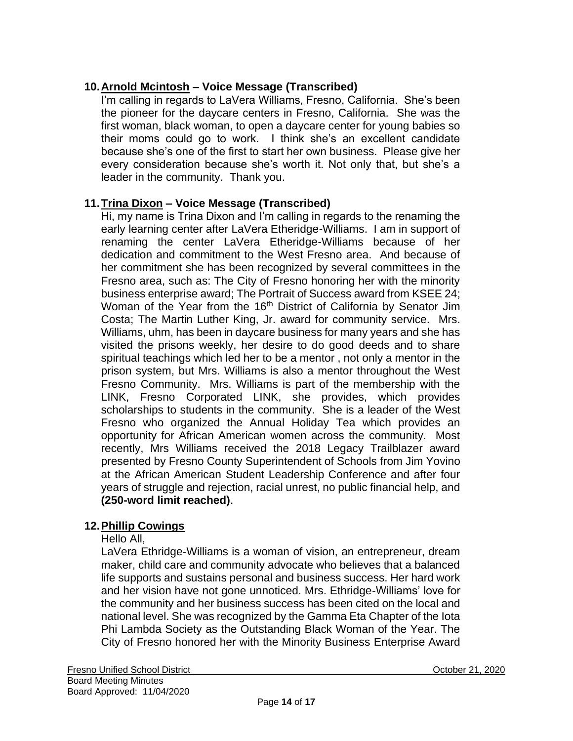# **10.Arnold Mcintosh – Voice Message (Transcribed)**

I'm calling in regards to LaVera Williams, Fresno, California. She's been the pioneer for the daycare centers in Fresno, California. She was the first woman, black woman, to open a daycare center for young babies so their moms could go to work. I think she's an excellent candidate because she's one of the first to start her own business. Please give her every consideration because she's worth it. Not only that, but she's a leader in the community. Thank you.

### **11.Trina Dixon – Voice Message (Transcribed)**

Hi, my name is Trina Dixon and I'm calling in regards to the renaming the early learning center after LaVera Etheridge-Williams. I am in support of renaming the center LaVera Etheridge-Williams because of her dedication and commitment to the West Fresno area. And because of her commitment she has been recognized by several committees in the Fresno area, such as: The City of Fresno honoring her with the minority business enterprise award; The Portrait of Success award from KSEE 24; Woman of the Year from the 16<sup>th</sup> District of California by Senator Jim Costa; The Martin Luther King, Jr. award for community service. Mrs. Williams, uhm, has been in daycare business for many years and she has visited the prisons weekly, her desire to do good deeds and to share spiritual teachings which led her to be a mentor , not only a mentor in the prison system, but Mrs. Williams is also a mentor throughout the West Fresno Community. Mrs. Williams is part of the membership with the LINK, Fresno Corporated LINK, she provides, which provides scholarships to students in the community. She is a leader of the West Fresno who organized the Annual Holiday Tea which provides an opportunity for African American women across the community. Most recently, Mrs Williams received the 2018 Legacy Trailblazer award presented by Fresno County Superintendent of Schools from Jim Yovino at the African American Student Leadership Conference and after four years of struggle and rejection, racial unrest, no public financial help, and **(250-word limit reached)**.

### **12.Phillip Cowings**

Hello All,

LaVera Ethridge-Williams is a woman of vision, an entrepreneur, dream maker, child care and community advocate who believes that a balanced life supports and sustains personal and business success. Her hard work and her vision have not gone unnoticed. Mrs. Ethridge-Williams' love for the community and her business success has been cited on the local and national level. She was recognized by the Gamma Eta Chapter of the Iota Phi Lambda Society as the Outstanding Black Woman of the Year. The City of Fresno honored her with the Minority Business Enterprise Award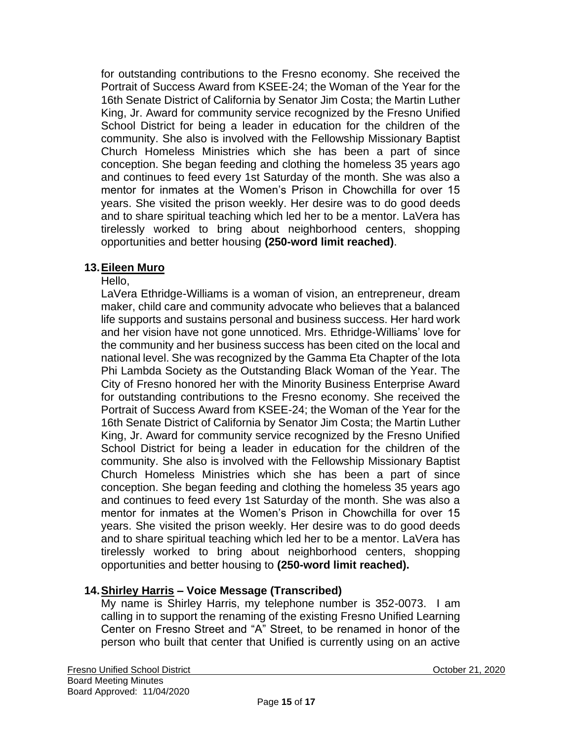for outstanding contributions to the Fresno economy. She received the Portrait of Success Award from KSEE-24; the Woman of the Year for the 16th Senate District of California by Senator Jim Costa; the Martin Luther King, Jr. Award for community service recognized by the Fresno Unified School District for being a leader in education for the children of the community. She also is involved with the Fellowship Missionary Baptist Church Homeless Ministries which she has been a part of since conception. She began feeding and clothing the homeless 35 years ago and continues to feed every 1st Saturday of the month. She was also a mentor for inmates at the Women's Prison in Chowchilla for over 15 years. She visited the prison weekly. Her desire was to do good deeds and to share spiritual teaching which led her to be a mentor. LaVera has tirelessly worked to bring about neighborhood centers, shopping opportunities and better housing **(250-word limit reached)**.

### **13.Eileen Muro**

Hello,

LaVera Ethridge-Williams is a woman of vision, an entrepreneur, dream maker, child care and community advocate who believes that a balanced life supports and sustains personal and business success. Her hard work and her vision have not gone unnoticed. Mrs. Ethridge-Williams' love for the community and her business success has been cited on the local and national level. She was recognized by the Gamma Eta Chapter of the Iota Phi Lambda Society as the Outstanding Black Woman of the Year. The City of Fresno honored her with the Minority Business Enterprise Award for outstanding contributions to the Fresno economy. She received the Portrait of Success Award from KSEE-24; the Woman of the Year for the 16th Senate District of California by Senator Jim Costa; the Martin Luther King, Jr. Award for community service recognized by the Fresno Unified School District for being a leader in education for the children of the community. She also is involved with the Fellowship Missionary Baptist Church Homeless Ministries which she has been a part of since conception. She began feeding and clothing the homeless 35 years ago and continues to feed every 1st Saturday of the month. She was also a mentor for inmates at the Women's Prison in Chowchilla for over 15 years. She visited the prison weekly. Her desire was to do good deeds and to share spiritual teaching which led her to be a mentor. LaVera has tirelessly worked to bring about neighborhood centers, shopping opportunities and better housing to **(250-word limit reached).**

### **14.Shirley Harris – Voice Message (Transcribed)**

My name is Shirley Harris, my telephone number is 352-0073. I am calling in to support the renaming of the existing Fresno Unified Learning Center on Fresno Street and "A" Street, to be renamed in honor of the person who built that center that Unified is currently using on an active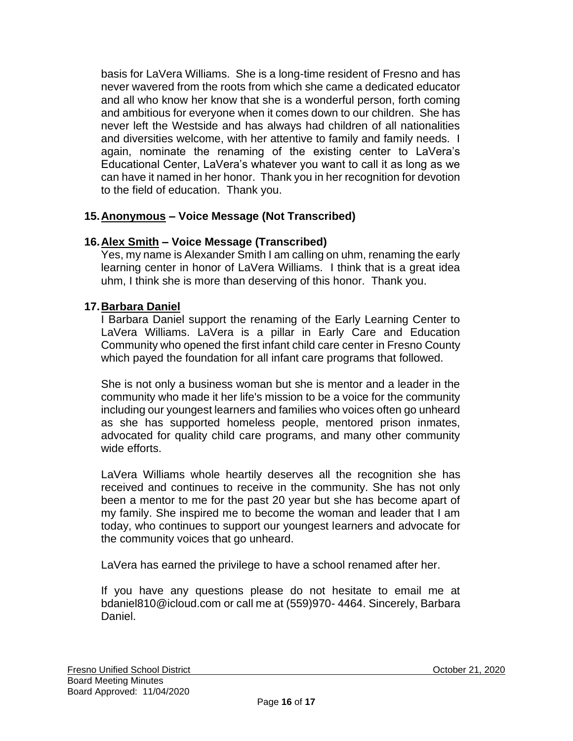basis for LaVera Williams. She is a long-time resident of Fresno and has never wavered from the roots from which she came a dedicated educator and all who know her know that she is a wonderful person, forth coming and ambitious for everyone when it comes down to our children. She has never left the Westside and has always had children of all nationalities and diversities welcome, with her attentive to family and family needs. I again, nominate the renaming of the existing center to LaVera's Educational Center, LaVera's whatever you want to call it as long as we can have it named in her honor. Thank you in her recognition for devotion to the field of education. Thank you.

## **15.Anonymous – Voice Message (Not Transcribed)**

### **16.Alex Smith – Voice Message (Transcribed)**

Yes, my name is Alexander Smith I am calling on uhm, renaming the early learning center in honor of LaVera Williams. I think that is a great idea uhm, I think she is more than deserving of this honor. Thank you.

### **17.Barbara Daniel**

I Barbara Daniel support the renaming of the Early Learning Center to LaVera Williams. LaVera is a pillar in Early Care and Education Community who opened the first infant child care center in Fresno County which payed the foundation for all infant care programs that followed.

She is not only a business woman but she is mentor and a leader in the community who made it her life's mission to be a voice for the community including our youngest learners and families who voices often go unheard as she has supported homeless people, mentored prison inmates, advocated for quality child care programs, and many other community wide efforts.

LaVera Williams whole heartily deserves all the recognition she has received and continues to receive in the community. She has not only been a mentor to me for the past 20 year but she has become apart of my family. She inspired me to become the woman and leader that I am today, who continues to support our youngest learners and advocate for the community voices that go unheard.

LaVera has earned the privilege to have a school renamed after her.

If you have any questions please do not hesitate to email me at bdaniel810@icloud.com or call me at (559)970- 4464. Sincerely, Barbara Daniel.